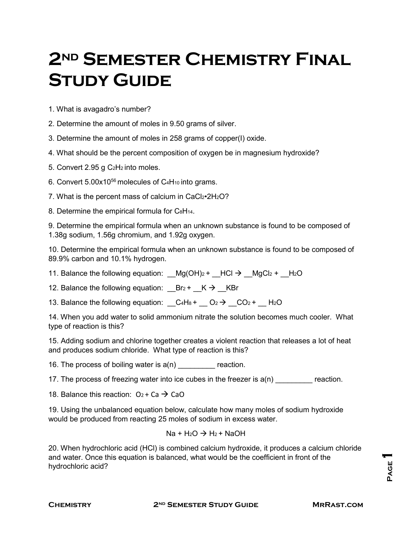## **2nd Semester Chemistry Final Study Guide**

1. What is avagadro's number?

2. Determine the amount of moles in 9.50 grams of silver.

3. Determine the amount of moles in 258 grams of copper(I) oxide.

4. What should be the percent composition of oxygen be in magnesium hydroxide?

5. Convert 2.95 g C2H2 into moles.

6. Convert  $5.00x10^{56}$  molecules of  $C_4H_{10}$  into grams.

7. What is the percent mass of calcium in CaCl2•2H<sub>2</sub>O?

8. Determine the empirical formula for C<sup>8</sup>H<sub>14</sub>.

9. Determine the empirical formula when an unknown substance is found to be composed of 1.38g sodium, 1.56g chromium, and 1.92g oxygen.

10. Determine the empirical formula when an unknown substance is found to be composed of 89.9% carbon and 10.1% hydrogen.

11. Balance the following equation: \_\_Mg(OH)<sub>2</sub> + \_\_HCl  $\rightarrow$  \_\_MgCl<sub>2</sub> + \_\_H<sub>2</sub>O

12. Balance the following equation:  $_B$ Br<sub>2</sub> +  $_K$   $\rightarrow$   $_K$ Br

13. Balance the following equation:  $C_4H_8 + C_2 \rightarrow C_2 + H_2O$ 

14. When you add water to solid ammonium nitrate the solution becomes much cooler. What type of reaction is this?

15. Adding sodium and chlorine together creates a violent reaction that releases a lot of heat and produces sodium chloride. What type of reaction is this?

16. The process of boiling water is  $a(n)$  reaction.

17. The process of freezing water into ice cubes in the freezer is  $a(n)$  reaction.

18. Balance this reaction:  $O_2 + Ca \rightarrow CaO$ 

19. Using the unbalanced equation below, calculate how many moles of sodium hydroxide would be produced from reacting 25 moles of sodium in excess water.

$$
Na + H_2O \rightarrow H_2 + NaOH
$$

20. When hydrochloric acid (HCl) is combined calcium hydroxide, it produces a calcium chloride and water. Once this equation is balanced, what would be the coefficient in front of the hydrochloric acid?

**Page 1**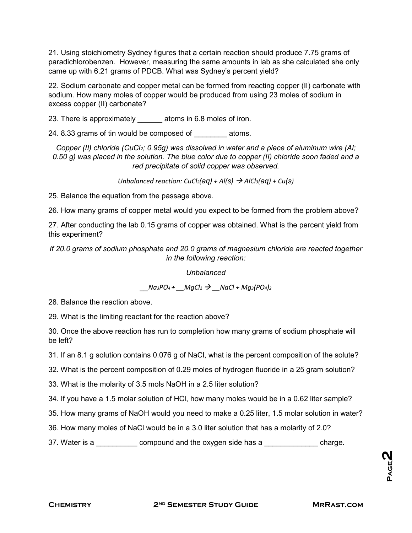21. Using stoichiometry Sydney figures that a certain reaction should produce 7.75 grams of paradichlorobenzen. However, measuring the same amounts in lab as she calculated she only came up with 6.21 grams of PDCB. What was Sydney's percent yield?

22. Sodium carbonate and copper metal can be formed from reacting copper (II) carbonate with sodium. How many moles of copper would be produced from using 23 moles of sodium in excess copper (II) carbonate?

23. There is approximately atoms in 6.8 moles of iron.

24. 8.33 grams of tin would be composed of atoms.

*Copper (II) chloride (CuCl2; 0.95g) was dissolved in water and a piece of aluminum wire (Al; 0.50 g) was placed in the solution. The blue color due to copper (II) chloride soon faded and a red precipitate of solid copper was observed.*

*Unbalanced reaction: CuCl<sub>2</sub>(aq) + Al(s)*  $\rightarrow$  *AlCl<sub>3</sub>(aq) + Cu(s)* 

25. Balance the equation from the passage above.

26. How many grams of copper metal would you expect to be formed from the problem above?

27. After conducting the lab 0.15 grams of copper was obtained. What is the percent yield from this experiment?

*If 20.0 grams of sodium phosphate and 20.0 grams of magnesium chloride are reacted together in the following reaction:*

*Unbalanced*

*\_\_Na3PO4 + \_\_MgCl2 \_\_NaCl + Mg3(PO4)2*

28. Balance the reaction above.

29. What is the limiting reactant for the reaction above?

30. Once the above reaction has run to completion how many grams of sodium phosphate will be left?

31. If an 8.1 g solution contains 0.076 g of NaCl, what is the percent composition of the solute?

32. What is the percent composition of 0.29 moles of hydrogen fluoride in a 25 gram solution?

33. What is the molarity of 3.5 mols NaOH in a 2.5 liter solution?

34. If you have a 1.5 molar solution of HCl, how many moles would be in a 0.62 liter sample?

35. How many grams of NaOH would you need to make a 0.25 liter, 1.5 molar solution in water?

36. How many moles of NaCl would be in a 3.0 liter solution that has a molarity of 2.0?

37. Water is a \_\_\_\_\_\_\_\_\_\_ compound and the oxygen side has a \_\_\_\_\_\_\_\_\_\_\_\_\_\_ charge.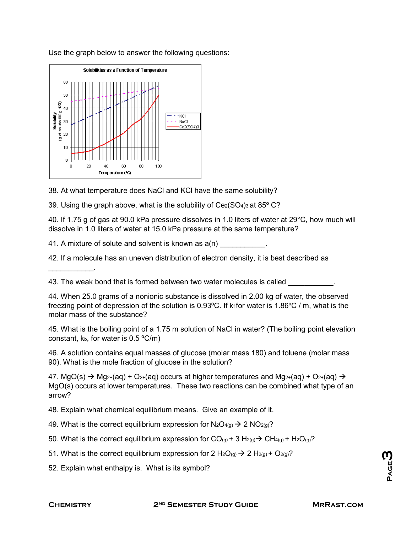

Use the graph below to answer the following questions:

38. At what temperature does NaCl and KCl have the same solubility?

39. Using the graph above, what is the solubility of  $Ce<sub>2</sub>(SO<sub>4</sub>)<sub>3</sub>$  at 85 $^{\circ}$  C?

40. If 1.75 g of gas at 90.0 kPa pressure dissolves in 1.0 liters of water at 29°C, how much will dissolve in 1.0 liters of water at 15.0 kPa pressure at the same temperature?

41. A mixture of solute and solvent is known as a(n)

42. If a molecule has an uneven distribution of electron density, it is best described as

43. The weak bond that is formed between two water molecules is called

44. When 25.0 grams of a nonionic substance is dissolved in 2.00 kg of water, the observed freezing point of depression of the solution is 0.93 °C. If  $k_f$  for water is 1.86 °C / m, what is the molar mass of the substance?

45. What is the boiling point of a 1.75 m solution of NaCl in water? (The boiling point elevation constant,  $k_b$ , for water is  $0.5 \degree C/m$ )

46. A solution contains equal masses of glucose (molar mass 180) and toluene (molar mass 90). What is the mole fraction of glucose in the solution?

47. MgO(s)  $\rightarrow$  Mg<sub>2+</sub>(aq) + O<sub>2+</sub>(aq) occurs at higher temperatures and Mg<sub>2+</sub>(aq) + O<sub>2+</sub>(aq)  $\rightarrow$ MgO(s) occurs at lower temperatures. These two reactions can be combined what type of an arrow?

48. Explain what chemical equilibrium means. Give an example of it.

- 49. What is the correct equilibrium expression for  $N_2O_{4(g)} \rightarrow 2 NO_{2(g)}$ ?
- 50. What is the correct equilibrium expression for  $CO_{(g)} + 3 H_{2(g)} \rightarrow CH_{4(g)} + H_{2}O_{(g)}$ ?
- 51. What is the correct equilibrium expression for 2 H<sub>2</sub>O<sub>(g)</sub>  $\rightarrow$  2 H<sub>2(g)</sub> + O<sub>2(g)</sub>?

52. Explain what enthalpy is. What is its symbol?

 $\mathcal{L}=\mathcal{L}^{\mathcal{L}}$  . The set of  $\mathcal{L}^{\mathcal{L}}$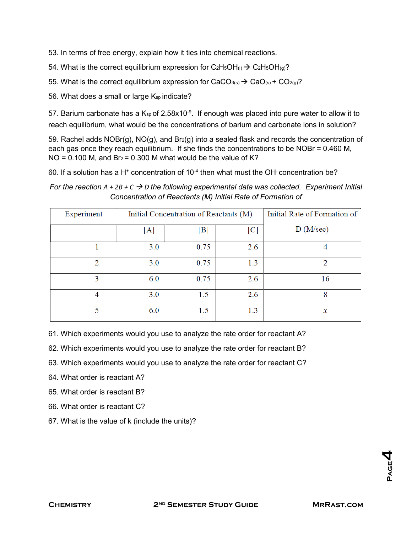53. In terms of free energy, explain how it ties into chemical reactions.

54. What is the correct equilibrium expression for  $C_2H_5OH_{(1)} \rightarrow C_2H_5OH_{(q)}$ ?

55. What is the correct equilibrium expression for CaCO<sub>3(s)</sub>  $\rightarrow$  CaO<sub>(s)</sub> + CO<sub>2(g)</sub>?

56. What does a small or large Ksp indicate?

57. Barium carbonate has a K $_{\rm sp}$  of 2.58x10<sup>-9</sup>. If enough was placed into pure water to allow it to reach equilibrium, what would be the concentrations of barium and carbonate ions in solution?

59. Rachel adds  $NOBr(g)$ ,  $NO(g)$ , and  $Br_2(g)$  into a sealed flask and records the concentration of each gas once they reach equilibrium. If she finds the concentrations to be NOBr = 0.460 M,  $NO = 0.100$  M, and  $Br_2 = 0.300$  M what would be the value of K?

60. If a solution has a H<sup>+</sup> concentration of  $10^{-4}$  then what must the OH concentration be?

*For the reaction A + 2B + C D the following experimental data was collected. Experiment Initial Concentration of Reactants (M) Initial Rate of Formation of*

| Experiment | Initial Concentration of Reactants (M) |      |                   | Initial Rate of Formation of |
|------------|----------------------------------------|------|-------------------|------------------------------|
|            | [A]                                    | [B]  | $\lceil C \rceil$ | D(M/sec)                     |
|            | 3.0                                    | 0.75 | 2.6               |                              |
| っ          | 3.0                                    | 0.75 | 1.3               | 2                            |
| 3          | 6.0                                    | 0.75 | 2.6               | 16                           |
| 4          | 3.0                                    | 1.5  | 2.6               | 8                            |
| 5          | 6.0                                    | 1.5  | 1.3               | $\mathcal{X}$                |

61. Which experiments would you use to analyze the rate order for reactant A?

- 62. Which experiments would you use to analyze the rate order for reactant B?
- 63. Which experiments would you use to analyze the rate order for reactant C?

64. What order is reactant A?

- 65. What order is reactant B?
- 66. What order is reactant C?
- 67. What is the value of k (include the units)?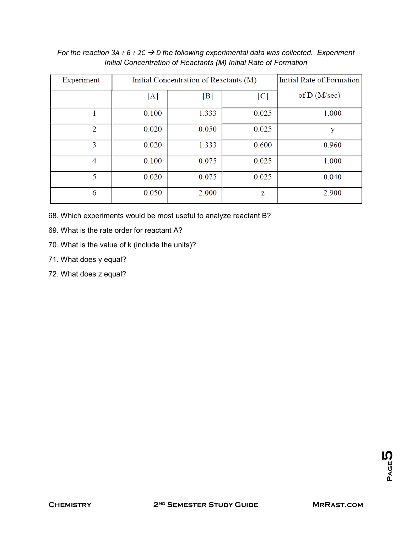| Experiment     | Initial Concentration of Reactants (M) |       |       | Initial Rate of Formation |
|----------------|----------------------------------------|-------|-------|---------------------------|
|                | [A]                                    | [B]   | [C]   | of $D(M/sec)$             |
|                | 0.100                                  | 1.333 | 0.025 | 1.000                     |
| $\overline{2}$ | 0.020                                  | 0.050 | 0.025 | у                         |
| 3              | 0.020                                  | 1.333 | 0.600 | 0.960                     |
| 4              | 0.100                                  | 0.075 | 0.025 | 1.000                     |
| 5              | 0.020                                  | 0.075 | 0.025 | 0.040                     |
| 6              | 0.050                                  | 2.000 | Z     | 2.900                     |

*For the reaction 3A + B + 2C → D the following experimental data was collected. Experiment Initial Concentration of Reactants (M) Initial Rate of Formation*

68. Which experiments would be most useful to analyze reactant B?

69. What is the rate order for reactant A?

70. What is the value of k (include the units)?

71. What does y equal?

72. What does z equal?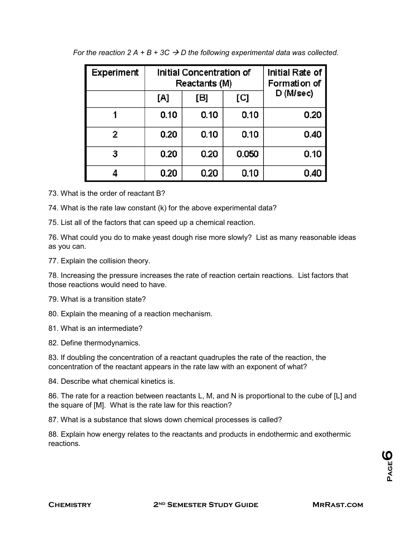| Experiment |      | Initial Concentration of<br>Reactants (M) | Initial Rate of<br>Formation of |           |  |
|------------|------|-------------------------------------------|---------------------------------|-----------|--|
|            | [A]  | [B]                                       | [C]                             | D (M/sec) |  |
|            | 0.10 | 0.10                                      | 0.10                            | 0.20      |  |
| 2          | 0.20 | 0.10                                      | 0.10                            | 0.40      |  |
| з          | 0.20 | 0.20                                      | 0.050                           | 0.10      |  |
|            | 0.20 | 0.20                                      | 0.10                            | 0.40      |  |

| For the reaction 2 A + B + 3C $\rightarrow$ D the following experimental data was collected. |  |
|----------------------------------------------------------------------------------------------|--|
|----------------------------------------------------------------------------------------------|--|

73. What is the order of reactant B?

74. What is the rate law constant (k) for the above experimental data?

75. List all of the factors that can speed up a chemical reaction.

76. What could you do to make yeast dough rise more slowly? List as many reasonable ideas as you can.

77. Explain the collision theory.

78. Increasing the pressure increases the rate of reaction certain reactions. List factors that those reactions would need to have.

79. What is a transition state?

80. Explain the meaning of a reaction mechanism.

81. What is an intermediate?

82. Define thermodynamics.

83. If doubling the concentration of a reactant quadruples the rate of the reaction, the concentration of the reactant appears in the rate law with an exponent of what?

84. Describe what chemical kinetics is.

86. The rate for a reaction between reactants L, M, and N is proportional to the cube of [L] and the square of [M]. What is the rate law for this reaction?

87. What is a substance that slows down chemical processes is called?

88. Explain how energy relates to the reactants and products in endothermic and exothermic reactions.